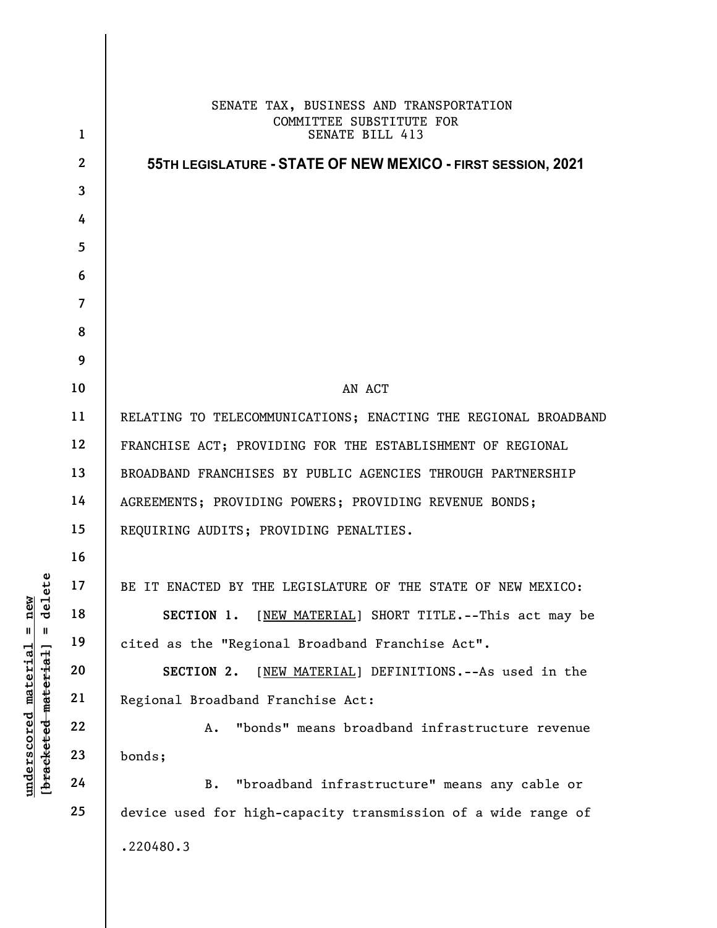|                                                                                                    | $\mathbf{1}$    | SENATE TAX, BUSINESS AND TRANSPORTATION<br>COMMITTEE SUBSTITUTE FOR<br>SENATE BILL 413 |
|----------------------------------------------------------------------------------------------------|-----------------|----------------------------------------------------------------------------------------|
| delete<br>new<br>$\mathsf{I}$<br>$\, \, \mathrm{II} \,$<br><u>material</u><br>[bracketed material] | $\overline{2}$  | 55TH LEGISLATURE - STATE OF NEW MEXICO - FIRST SESSION, 2021                           |
|                                                                                                    | $\mathbf{3}$    |                                                                                        |
|                                                                                                    | 4               |                                                                                        |
|                                                                                                    | $5\phantom{.0}$ |                                                                                        |
|                                                                                                    | 6               |                                                                                        |
|                                                                                                    | $\overline{7}$  |                                                                                        |
|                                                                                                    | 8               |                                                                                        |
|                                                                                                    | 9               |                                                                                        |
|                                                                                                    | 10              | AN ACT                                                                                 |
|                                                                                                    | 11              | RELATING TO TELECOMMUNICATIONS; ENACTING THE REGIONAL BROADBAND                        |
|                                                                                                    | 12              | FRANCHISE ACT; PROVIDING FOR THE ESTABLISHMENT OF REGIONAL                             |
|                                                                                                    | 13              | BROADBAND FRANCHISES BY PUBLIC AGENCIES THROUGH PARTNERSHIP                            |
|                                                                                                    | 14              | AGREEMENTS; PROVIDING POWERS; PROVIDING REVENUE BONDS;                                 |
|                                                                                                    | 15              | REQUIRING AUDITS; PROVIDING PENALTIES.                                                 |
|                                                                                                    | 16              |                                                                                        |
|                                                                                                    | 17              | BE IT ENACTED BY THE LEGISLATURE OF THE STATE OF NEW MEXICO:                           |
|                                                                                                    | 18              | [NEW MATERIAL] SHORT TITLE.--This act may be<br>SECTION 1.                             |
|                                                                                                    | 19              | cited as the "Regional Broadband Franchise Act".                                       |
|                                                                                                    | 20              | [NEW MATERIAL] DEFINITIONS. -- As used in the<br>SECTION 2.                            |
|                                                                                                    | 21              | Regional Broadband Franchise Act:                                                      |
|                                                                                                    | 22              | "bonds" means broadband infrastructure revenue<br>Α.                                   |
|                                                                                                    | 23              | bonds;                                                                                 |
| underscored                                                                                        | 24              | "broadband infrastructure" means any cable or<br><b>B.</b>                             |
|                                                                                                    | 25              | device used for high-capacity transmission of a wide range of                          |
|                                                                                                    |                 |                                                                                        |
|                                                                                                    |                 | .220480.3                                                                              |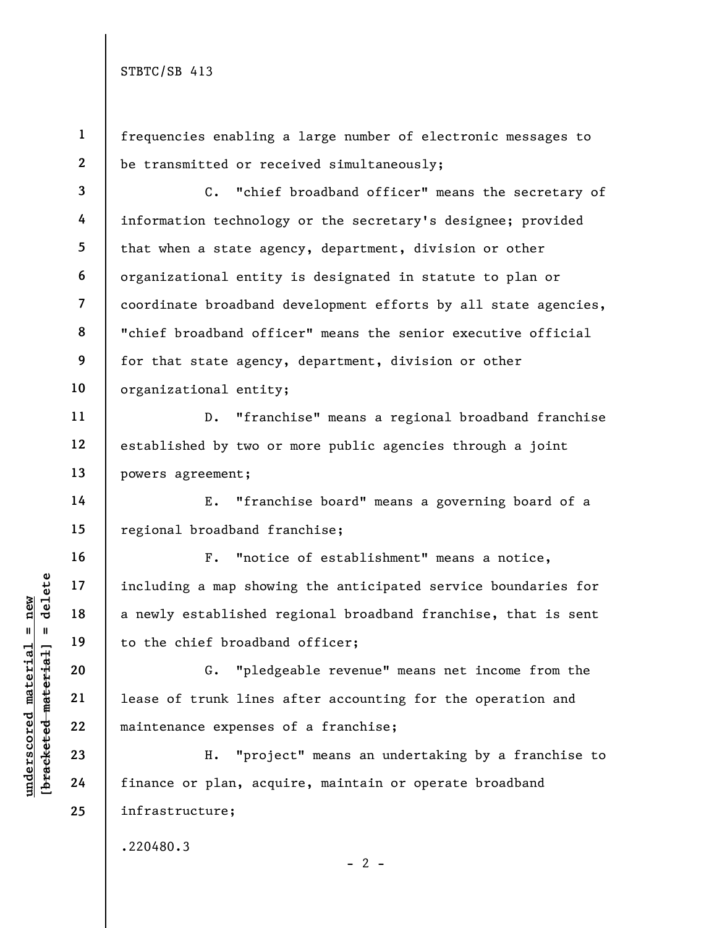1

2

11

12

13

14

15

16

17

18

19

20

21

22

23

24

25

frequencies enabling a large number of electronic messages to be transmitted or received simultaneously;

3 4 5 6 7 8 9 10 C. "chief broadband officer" means the secretary of information technology or the secretary's designee; provided that when a state agency, department, division or other organizational entity is designated in statute to plan or coordinate broadband development efforts by all state agencies, "chief broadband officer" means the senior executive official for that state agency, department, division or other organizational entity;

D. "franchise" means a regional broadband franchise established by two or more public agencies through a joint powers agreement;

E. "franchise board" means a governing board of a regional broadband franchise;

understand material end of trunk lines<br>
with the chief broadban<br>
with 19<br>
understablished r<br>
20<br>
understablished r<br>
21<br>
lease of trunk lines<br>
22<br>
maintenance expenses<br>
23<br>
Expedience of trunk lines<br>
24<br>
finance or plan, ac F. "notice of establishment" means a notice, including a map showing the anticipated service boundaries for a newly established regional broadband franchise, that is sent to the chief broadband officer;

G. "pledgeable revenue" means net income from the lease of trunk lines after accounting for the operation and maintenance expenses of a franchise;

H. "project" means an undertaking by a franchise to finance or plan, acquire, maintain or operate broadband infrastructure;

 $- 2 -$ 

.220480.3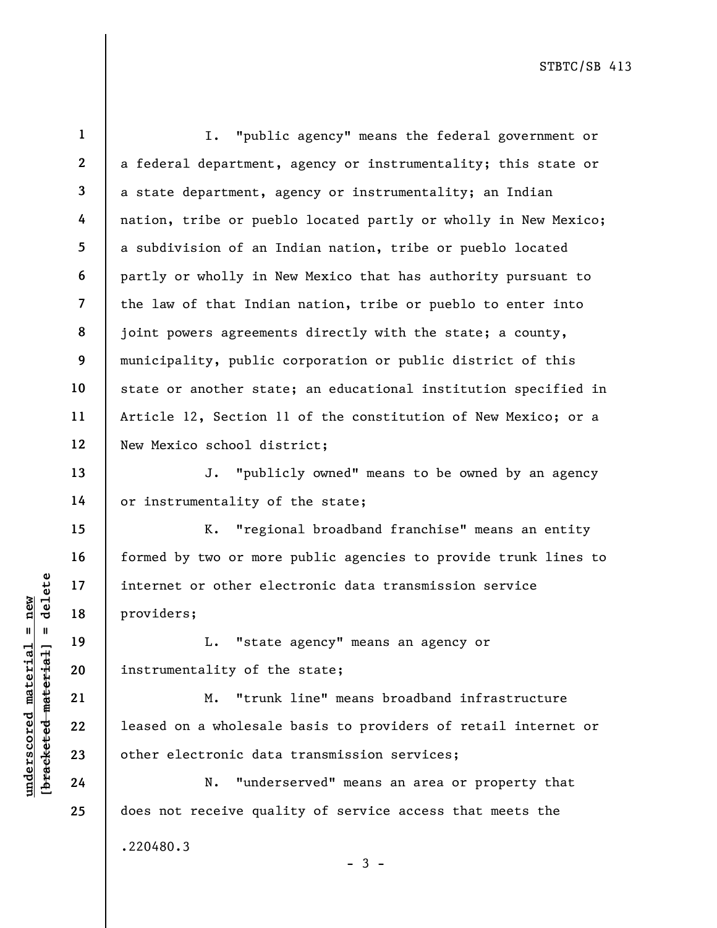underscored material internet or other elemental providers;<br>  $\begin{array}{ccc}\n\text{1.} & \text{1.} & \text{1.} & \text{1.} \\
\text{1.} & \text{1.} & \text{1.} & \text{1.} \\
\text{2.} & \text{2.} & \text{2.} & \text{2.} \\
\text{2.} & \text{2.} & \text{2.} & \text{2.} \\
\text{2.} & \text{2.} & \text{2.} & \text{2.} \\
\text{2.} & \text{2.$ 1 2 3 4 5 6 7 8 9 10 11 12 13 14 15 16 17 18 19 20 21 22 23 24 25 I. "public agency" means the federal government or a federal department, agency or instrumentality; this state or a state department, agency or instrumentality; an Indian nation, tribe or pueblo located partly or wholly in New Mexico; a subdivision of an Indian nation, tribe or pueblo located partly or wholly in New Mexico that has authority pursuant to the law of that Indian nation, tribe or pueblo to enter into joint powers agreements directly with the state; a county, municipality, public corporation or public district of this state or another state; an educational institution specified in Article 12, Section 11 of the constitution of New Mexico; or a New Mexico school district; J. "publicly owned" means to be owned by an agency or instrumentality of the state; K. "regional broadband franchise" means an entity formed by two or more public agencies to provide trunk lines to internet or other electronic data transmission service providers; L. "state agency" means an agency or instrumentality of the state; M. "trunk line" means broadband infrastructure leased on a wholesale basis to providers of retail internet or other electronic data transmission services; N. "underserved" means an area or property that does not receive quality of service access that meets the .220480.3

 $-3 -$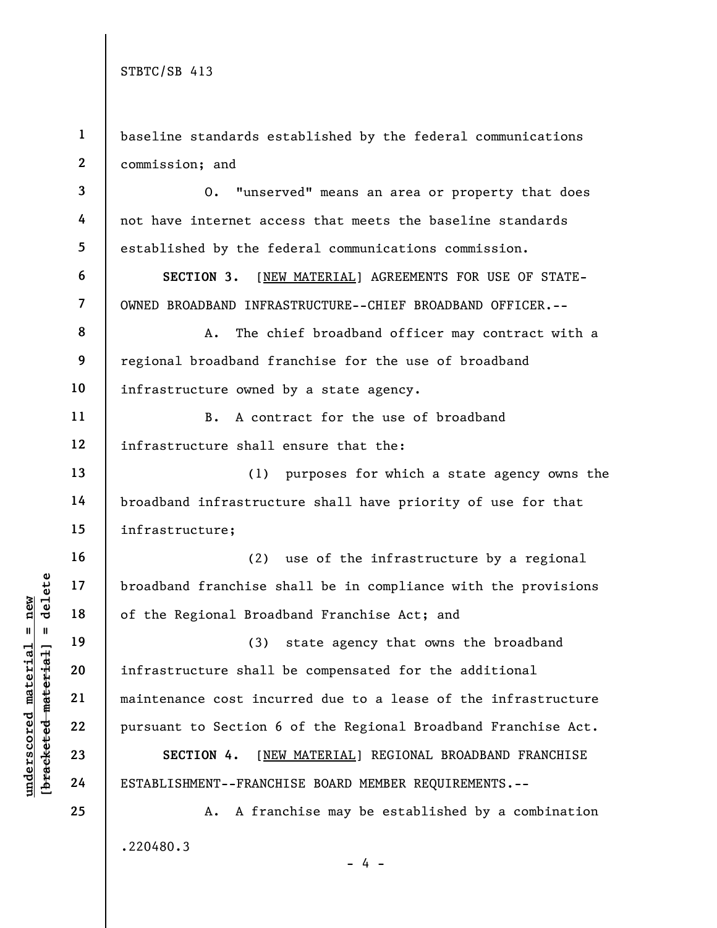3

4

5

6

7

11

12

13

14

15

16

17

18

19

20

21

22

23

24

25

1 2 baseline standards established by the federal communications commission; and

O. "unserved" means an area or property that does not have internet access that meets the baseline standards established by the federal communications commission.

SECTION 3. [NEW MATERIAL] AGREEMENTS FOR USE OF STATE-OWNED BROADBAND INFRASTRUCTURE--CHIEF BROADBAND OFFICER.--

8 9 10 A. The chief broadband officer may contract with a regional broadband franchise for the use of broadband infrastructure owned by a state agency.

B. A contract for the use of broadband infrastructure shall ensure that the:

(1) purposes for which a state agency owns the broadband infrastructure shall have priority of use for that infrastructure;

(2) use of the infrastructure by a regional broadband franchise shall be in compliance with the provisions of the Regional Broadband Franchise Act; and

underscored material = new [bracketed material] = delete (3) state agency that owns the broadband infrastructure shall be compensated for the additional maintenance cost incurred due to a lease of the infrastructure pursuant to Section 6 of the Regional Broadband Franchise Act.

SECTION 4. [NEW MATERIAL] REGIONAL BROADBAND FRANCHISE ESTABLISHMENT--FRANCHISE BOARD MEMBER REQUIREMENTS.--

A. A franchise may be established by a combination .220480.3 - 4 -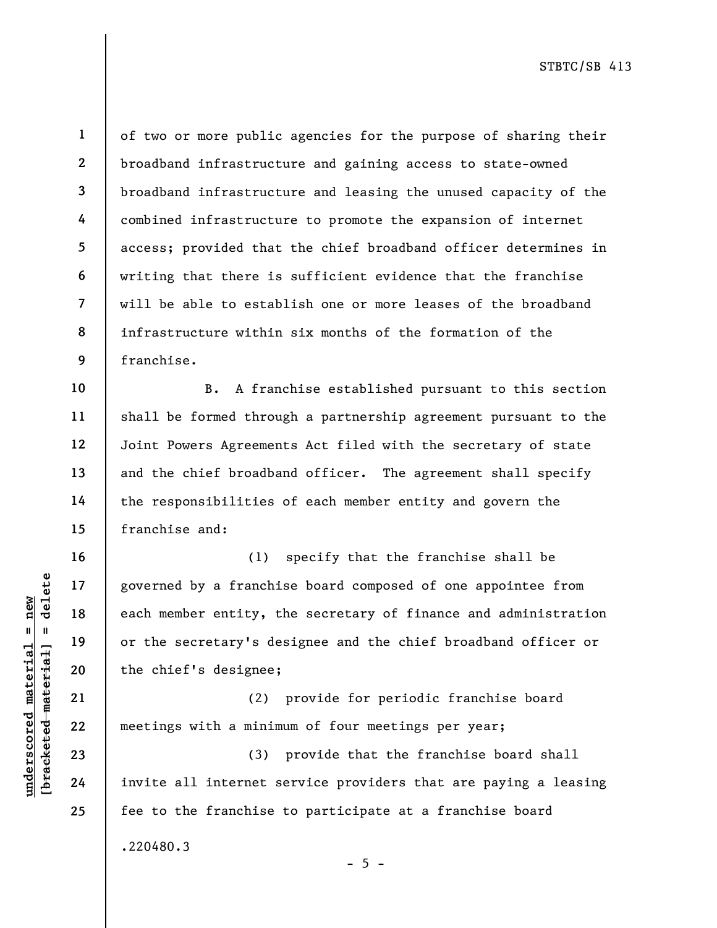10

11

12

13

14

15

16

17

18

19

20

21

22

23

24

25

1 2 3 4 5 6 7 8 9 of two or more public agencies for the purpose of sharing their broadband infrastructure and gaining access to state-owned broadband infrastructure and leasing the unused capacity of the combined infrastructure to promote the expansion of internet access; provided that the chief broadband officer determines in writing that there is sufficient evidence that the franchise will be able to establish one or more leases of the broadband infrastructure within six months of the formation of the franchise.

B. A franchise established pursuant to this section shall be formed through a partnership agreement pursuant to the Joint Powers Agreements Act filed with the secretary of state and the chief broadband officer. The agreement shall specify the responsibilities of each member entity and govern the franchise and:

understand material states of the secretary's dependence in the secretary's dependence in the secretary's dependence in the chief's designee;<br>and the chief's designee;<br>all the chief's designee;<br>all the chief's designee;<br>al (1) specify that the franchise shall be governed by a franchise board composed of one appointee from each member entity, the secretary of finance and administration or the secretary's designee and the chief broadband officer or the chief's designee;

(2) provide for periodic franchise board meetings with a minimum of four meetings per year;

(3) provide that the franchise board shall invite all internet service providers that are paying a leasing fee to the franchise to participate at a franchise board .220480.3

 $- 5 -$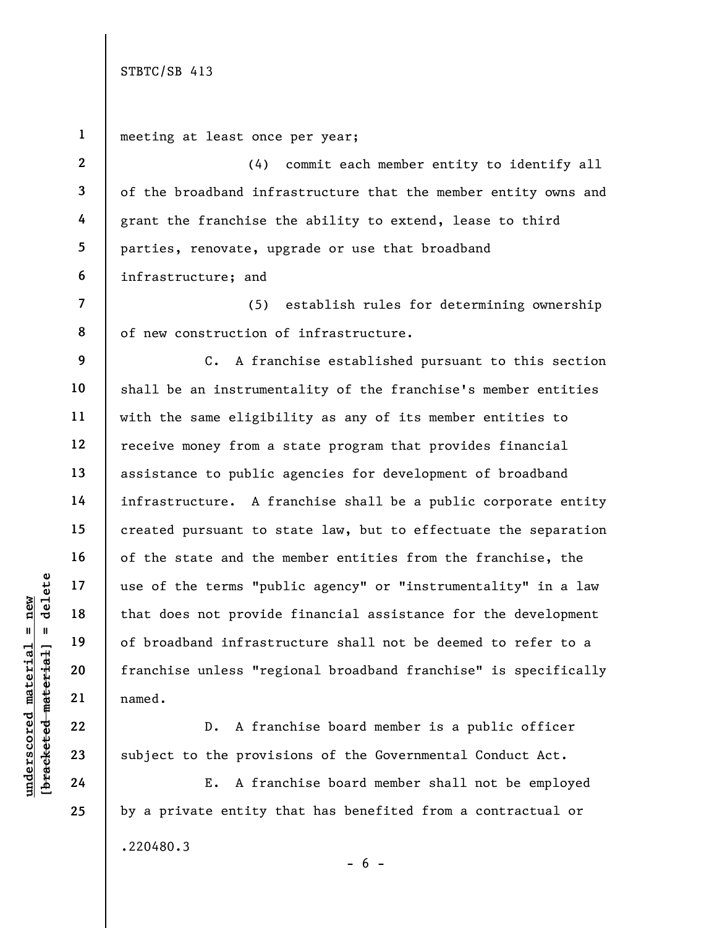understand material material externa in the terms in the terms in the terms in the terms in the terms in the terms in the terms in the terms in the terms in the terms in the terms in the terms in the terms in the terms in 1 2 3 4 5 6 7 8 9 10 11 12 13 14 15 16 17 18 19 20 21 22 23 24 25

meeting at least once per year;

(4) commit each member entity to identify all of the broadband infrastructure that the member entity owns and grant the franchise the ability to extend, lease to third parties, renovate, upgrade or use that broadband infrastructure; and

(5) establish rules for determining ownership of new construction of infrastructure.

C. A franchise established pursuant to this section shall be an instrumentality of the franchise's member entities with the same eligibility as any of its member entities to receive money from a state program that provides financial assistance to public agencies for development of broadband infrastructure. A franchise shall be a public corporate entity created pursuant to state law, but to effectuate the separation of the state and the member entities from the franchise, the use of the terms "public agency" or "instrumentality" in a law that does not provide financial assistance for the development of broadband infrastructure shall not be deemed to refer to a franchise unless "regional broadband franchise" is specifically named.

 D. A franchise board member is a public officer subject to the provisions of the Governmental Conduct Act.

E. A franchise board member shall not be employed by a private entity that has benefited from a contractual or .220480.3 - 6 -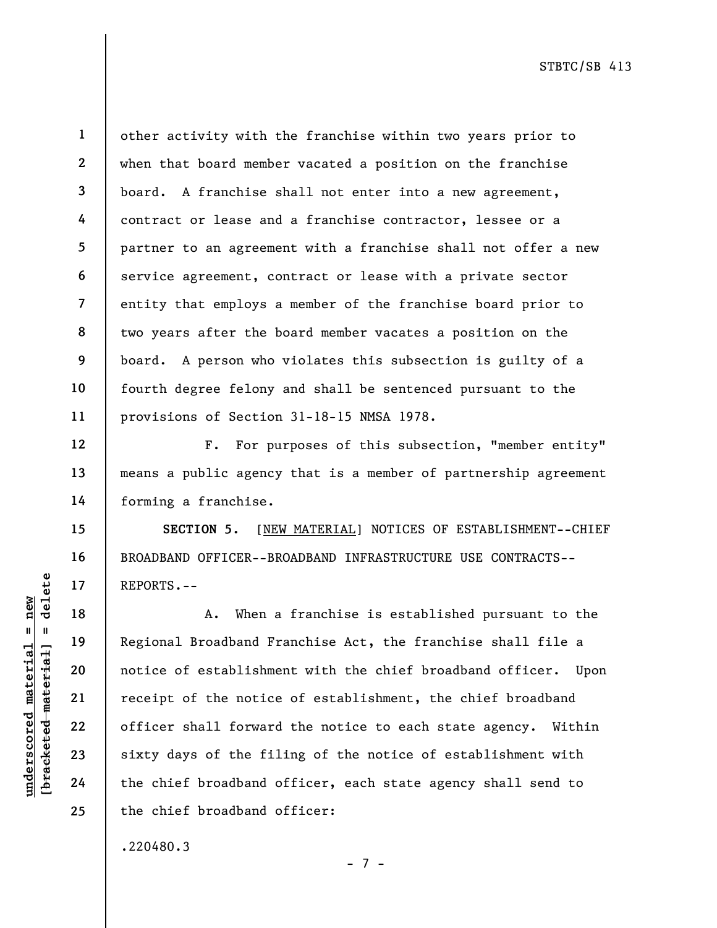23

24

25

1 2 3 other activity with the franchise within two years prior to when that board member vacated a position on the franchise board. A franchise shall not enter into a new agreement, contract or lease and a franchise contractor, lessee or a partner to an agreement with a franchise shall not offer a new service agreement, contract or lease with a private sector entity that employs a member of the franchise board prior to two years after the board member vacates a position on the board. A person who violates this subsection is guilty of a fourth degree felony and shall be sentenced pursuant to the provisions of Section 31-18-15 NMSA 1978.

F. For purposes of this subsection, "member entity" means a public agency that is a member of partnership agreement forming a franchise.

SECTION 5. [NEW MATERIAL] NOTICES OF ESTABLISHMENT--CHIEF BROADBAND OFFICER--BROADBAND INFRASTRUCTURE USE CONTRACTS-- REPORTS.--

UN DEPORTS.--<br>
WHO DEPORTS.--<br>
When a<br>
material is notice of establishme<br>
21<br>
The preceipt of the notice<br>
23<br>
23<br>
24<br>
The chief broadband composition<br>
24<br>
The chief broadband composition<br>
24<br>
The chief broadband compositio A. When a franchise is established pursuant to the Regional Broadband Franchise Act, the franchise shall file a notice of establishment with the chief broadband officer. Upon receipt of the notice of establishment, the chief broadband officer shall forward the notice to each state agency. Within sixty days of the filing of the notice of establishment with the chief broadband officer, each state agency shall send to the chief broadband officer:

.220480.3

- 7 -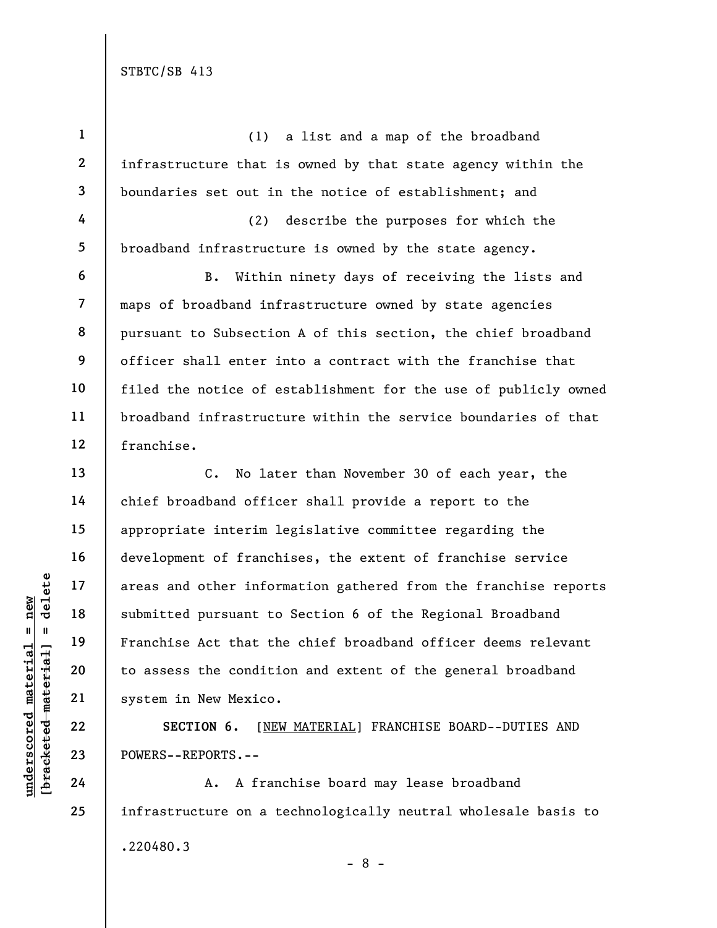underscored material = new [bracketed material] = delete 1 2 3 4 5 6 7 8 9 10 11 12 13 14 15 16 17 18 19 20 21 22 (1) a list and a map of the broadband infrastructure that is owned by that state agency within the boundaries set out in the notice of establishment; and (2) describe the purposes for which the broadband infrastructure is owned by the state agency. B. Within ninety days of receiving the lists and maps of broadband infrastructure owned by state agencies pursuant to Subsection A of this section, the chief broadband officer shall enter into a contract with the franchise that filed the notice of establishment for the use of publicly owned broadband infrastructure within the service boundaries of that franchise. C. No later than November 30 of each year, the chief broadband officer shall provide a report to the appropriate interim legislative committee regarding the development of franchises, the extent of franchise service areas and other information gathered from the franchise reports submitted pursuant to Section 6 of the Regional Broadband Franchise Act that the chief broadband officer deems relevant to assess the condition and extent of the general broadband system in New Mexico.

SECTION 6. [NEW MATERIAL] FRANCHISE BOARD--DUTIES AND POWERS--REPORTS.--

A. A franchise board may lease broadband infrastructure on a technologically neutral wholesale basis to .220480.3 - 8 -

23

24

25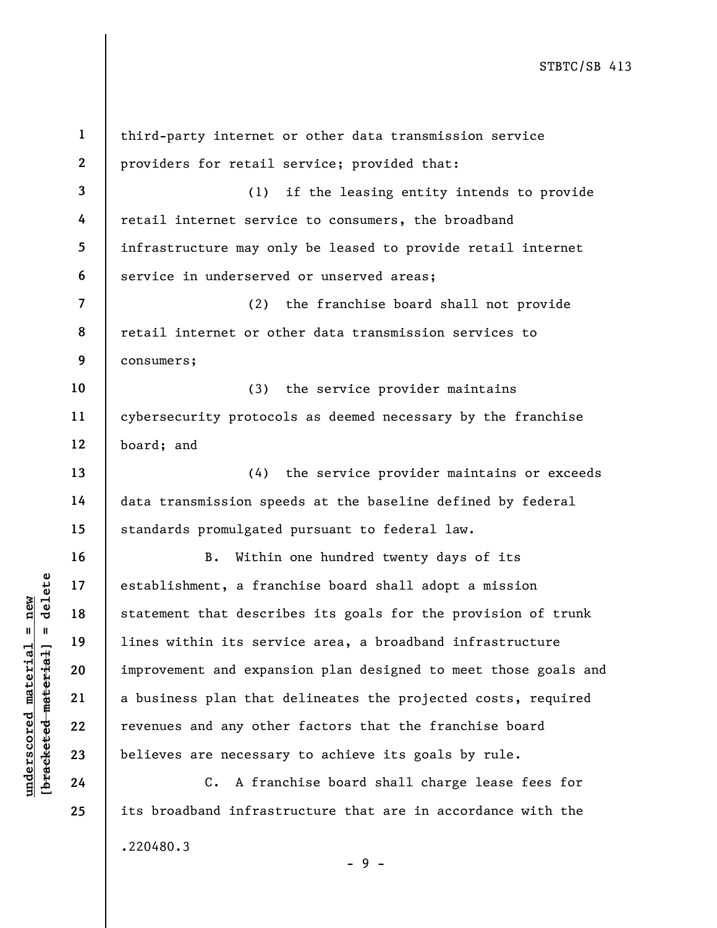understablishment, a frame and that description of the statement that description of the statement that description of the statement and expansion and the statement and expansion of the statement and expansion of the state 1 2 3 4 5 6 7 8 9 10 11 12 13 14 15 16 17 18 19 20 21 22 23 24 25 third-party internet or other data transmission service providers for retail service; provided that: (1) if the leasing entity intends to provide retail internet service to consumers, the broadband infrastructure may only be leased to provide retail internet service in underserved or unserved areas; (2) the franchise board shall not provide retail internet or other data transmission services to consumers; (3) the service provider maintains cybersecurity protocols as deemed necessary by the franchise board; and (4) the service provider maintains or exceeds data transmission speeds at the baseline defined by federal standards promulgated pursuant to federal law. B. Within one hundred twenty days of its establishment, a franchise board shall adopt a mission statement that describes its goals for the provision of trunk lines within its service area, a broadband infrastructure improvement and expansion plan designed to meet those goals and a business plan that delineates the projected costs, required revenues and any other factors that the franchise board believes are necessary to achieve its goals by rule. C. A franchise board shall charge lease fees for its broadband infrastructure that are in accordance with the .220480.3 - 9 -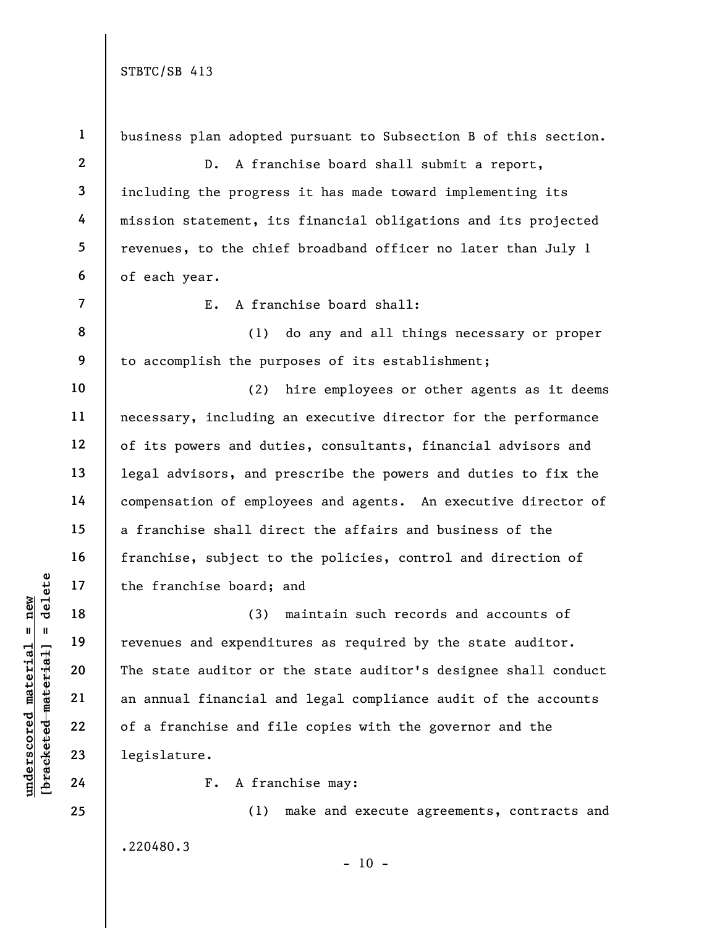.220480.3

understand material material material material material species and expendit<br>
weight a new contraction of the state auditor or<br>
weight a new pair of a franchise and final a<br>
delinger and the state auditor or<br>
23 degislatur 1 2 3 4 5 6 7 8 9 10 11 12 13 14 15 16 17 18 19 20 21 22 23 24 25 business plan adopted pursuant to Subsection B of this section. D. A franchise board shall submit a report, including the progress it has made toward implementing its mission statement, its financial obligations and its projected revenues, to the chief broadband officer no later than July 1 of each year. E. A franchise board shall: (1) do any and all things necessary or proper to accomplish the purposes of its establishment; (2) hire employees or other agents as it deems necessary, including an executive director for the performance of its powers and duties, consultants, financial advisors and legal advisors, and prescribe the powers and duties to fix the compensation of employees and agents. An executive director of a franchise shall direct the affairs and business of the franchise, subject to the policies, control and direction of the franchise board; and (3) maintain such records and accounts of revenues and expenditures as required by the state auditor. The state auditor or the state auditor's designee shall conduct an annual financial and legal compliance audit of the accounts of a franchise and file copies with the governor and the legislature. F. A franchise may: (1) make and execute agreements, contracts and

 $- 10 -$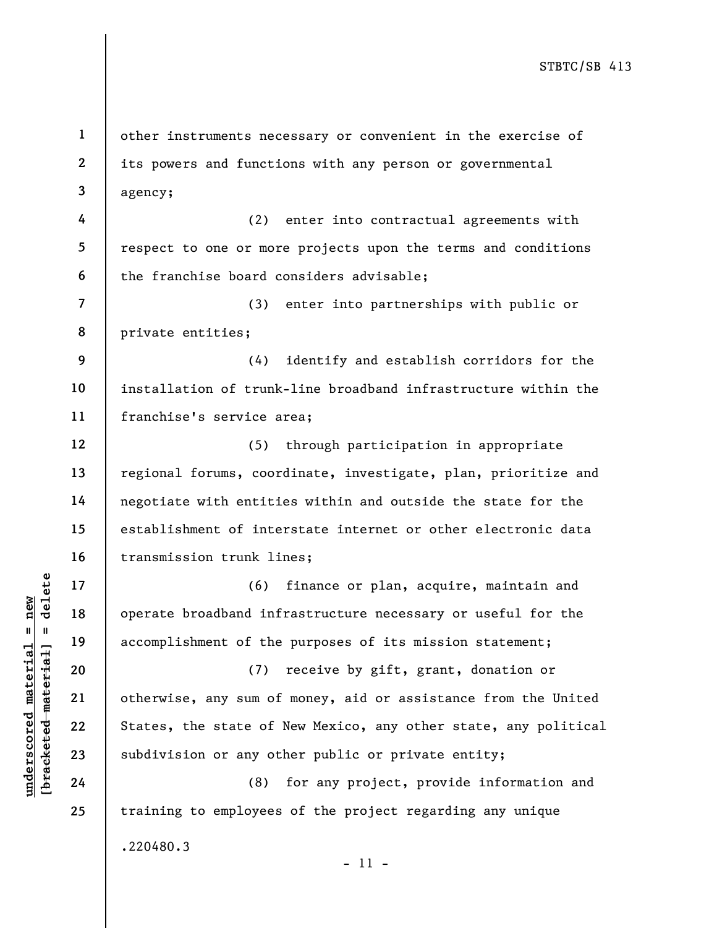1 2 3 other instruments necessary or convenient in the exercise of its powers and functions with any person or governmental agency;

4 5 6 (2) enter into contractual agreements with respect to one or more projects upon the terms and conditions the franchise board considers advisable;

7 8 (3) enter into partnerships with public or private entities;

9 10 11 (4) identify and establish corridors for the installation of trunk-line broadband infrastructure within the franchise's service area;

12 13 14 15 16 (5) through participation in appropriate regional forums, coordinate, investigate, plan, prioritize and negotiate with entities within and outside the state for the establishment of interstate internet or other electronic data transmission trunk lines;

(6) finance or plan, acquire, maintain and operate broadband infrastructure necessary or useful for the accomplishment of the purposes of its mission statement;

underscored material material of the<br>
understand material of the<br>
understand material of the<br>
understand material of the<br>
21 otherwise, any sum of<br>
22 states, the state of<br>
23 subdivision or any ot<br>
24 (8) (7) receive by gift, grant, donation or otherwise, any sum of money, aid or assistance from the United States, the state of New Mexico, any other state, any political subdivision or any other public or private entity;

(8) for any project, provide information and training to employees of the project regarding any unique .220480.3 - 11 -

17

18

19

20

21

22

23

24

25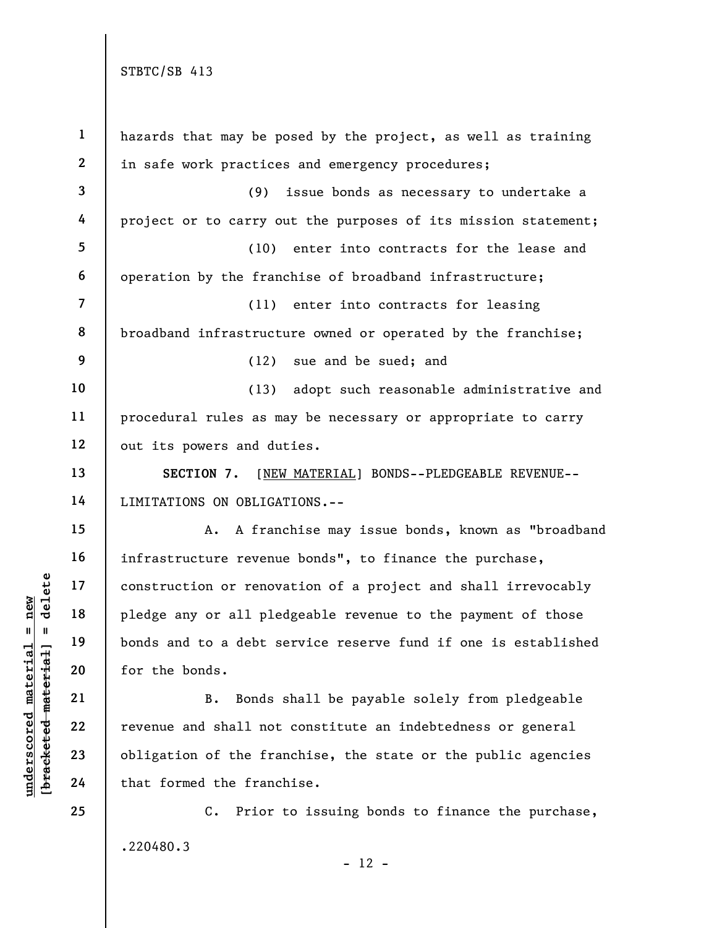|                                | $\mathbf 1$    | hazards that may be posed by the project, as well as training       |
|--------------------------------|----------------|---------------------------------------------------------------------|
|                                | $\mathbf{2}$   | in safe work practices and emergency procedures;                    |
|                                | 3              | (9)<br>issue bonds as necessary to undertake a                      |
|                                | 4              | project or to carry out the purposes of its mission statement;      |
|                                | 5              | (10) enter into contracts for the lease and                         |
|                                | 6              | operation by the franchise of broadband infrastructure;             |
|                                | $\overline{7}$ | (11) enter into contracts for leasing                               |
|                                | 8              | broadband infrastructure owned or operated by the franchise;        |
|                                | 9              | sue and be sued; and<br>(12)                                        |
|                                | 10             | adopt such reasonable administrative and<br>(13)                    |
|                                | $11\,$         | procedural rules as may be necessary or appropriate to carry        |
|                                | 12             | out its powers and duties.                                          |
|                                | 13             | [NEW MATERIAL] BONDS--PLEDGEABLE REVENUE--<br>SECTION 7.            |
|                                | 14             | LIMITATIONS ON OBLIGATIONS.--                                       |
|                                | 15             | A franchise may issue bonds, known as "broadband<br>Α.              |
|                                | 16             | infrastructure revenue bonds", to finance the purchase,             |
| delete                         | 17             | construction or renovation of a project and shall irrevocably       |
| new                            | 18             | pledge any or all pledgeable revenue to the payment of those        |
| Ш                              | 19             | bonds and to a debt service reserve fund if one is established      |
| materia<br>[bracketed material | 20             | for the bonds.                                                      |
|                                | 21             | Bonds shall be payable solely from pledgeable<br><b>B.</b>          |
| underscored                    | 22             | revenue and shall not constitute an indebtedness or general         |
|                                | 23             | obligation of the franchise, the state or the public agencies       |
|                                | 24             | that formed the franchise.                                          |
|                                | 25             | Prior to issuing bonds to finance the purchase,<br>$\mathfrak{c}$ . |
|                                |                | .220480.3                                                           |

- 12 -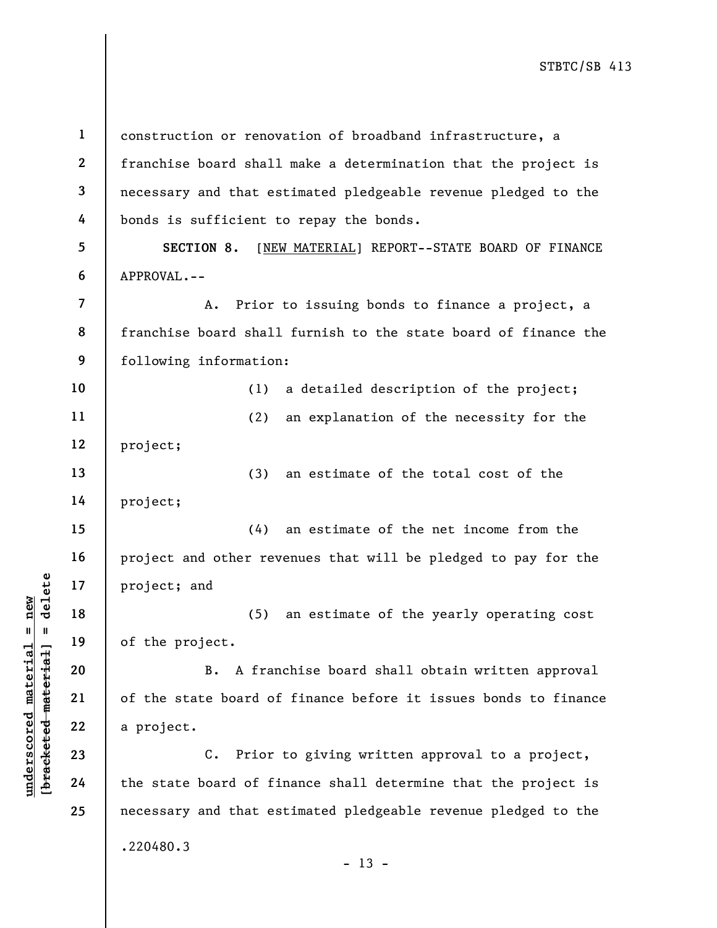underscored material material and the project; and (5)<br>  $\begin{array}{c|c|c|c} \hline \text{u} & \text{u} & \text{u} & \text{u} & \text{u} \ \hline \text{u} & \text{u} & \text{u} & \text{u} & \text{u} \ \hline \text{u} & \text{u} & \text{u} & \text{u} & \text{u} \ \hline \text{u} & \text{u} & \text{u} & \text{u} & \text{u} \ \hline \text{u} & \text{u} & \text{u}$ 1 2 3 4 5 6 7 8 9 10 11 12 13 14 15 16 17 18 19 20 21 22 23 24 25 construction or renovation of broadband infrastructure, a franchise board shall make a determination that the project is necessary and that estimated pledgeable revenue pledged to the bonds is sufficient to repay the bonds. SECTION 8. [NEW MATERIAL] REPORT--STATE BOARD OF FINANCE APPROVAL.-- A. Prior to issuing bonds to finance a project, a franchise board shall furnish to the state board of finance the following information: (1) a detailed description of the project; (2) an explanation of the necessity for the project; (3) an estimate of the total cost of the project; (4) an estimate of the net income from the project and other revenues that will be pledged to pay for the project; and (5) an estimate of the yearly operating cost of the project. B. A franchise board shall obtain written approval of the state board of finance before it issues bonds to finance a project. C. Prior to giving written approval to a project, the state board of finance shall determine that the project is necessary and that estimated pledgeable revenue pledged to the .220480.3  $- 13 -$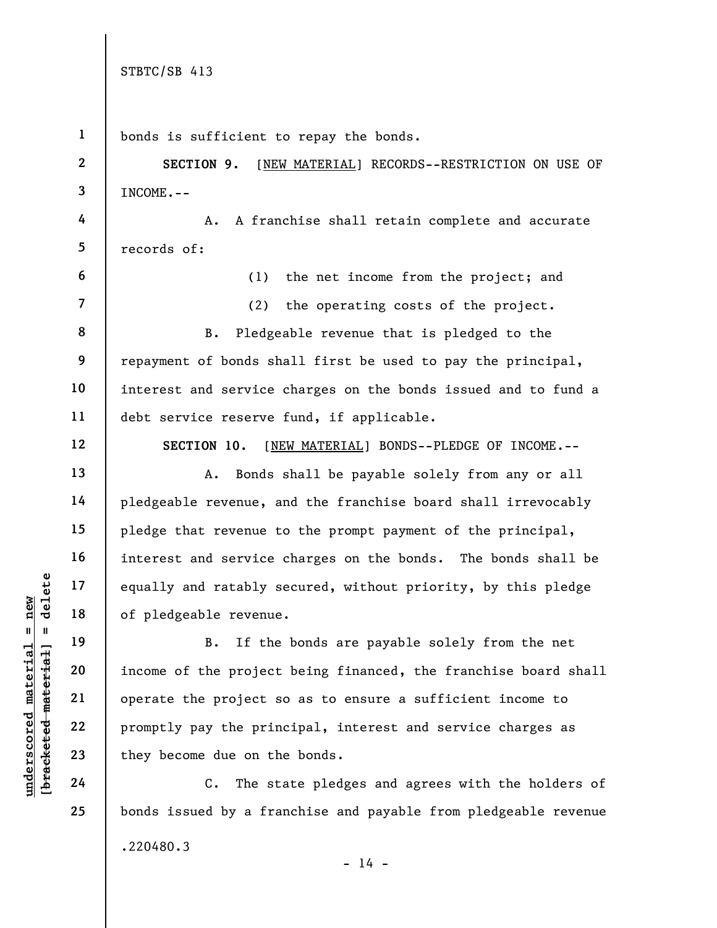underscored material = new [bracketed material] = delete 1 2 3 4 5 6 7 8 9 10 11 12 13 14 15 16 17 18 19 20 21 22 23 24 25 bonds is sufficient to repay the bonds. SECTION 9. [NEW MATERIAL] RECORDS--RESTRICTION ON USE OF INCOME.-- A. A franchise shall retain complete and accurate records of: (1) the net income from the project; and (2) the operating costs of the project. B. Pledgeable revenue that is pledged to the repayment of bonds shall first be used to pay the principal, interest and service charges on the bonds issued and to fund a debt service reserve fund, if applicable. SECTION 10. [NEW MATERIAL] BONDS--PLEDGE OF INCOME.-- A. Bonds shall be payable solely from any or all pledgeable revenue, and the franchise board shall irrevocably pledge that revenue to the prompt payment of the principal, interest and service charges on the bonds. The bonds shall be equally and ratably secured, without priority, by this pledge of pledgeable revenue. B. If the bonds are payable solely from the net income of the project being financed, the franchise board shall operate the project so as to ensure a sufficient income to promptly pay the principal, interest and service charges as they become due on the bonds. C. The state pledges and agrees with the holders of bonds issued by a franchise and payable from pledgeable revenue .220480.3

 $- 14 -$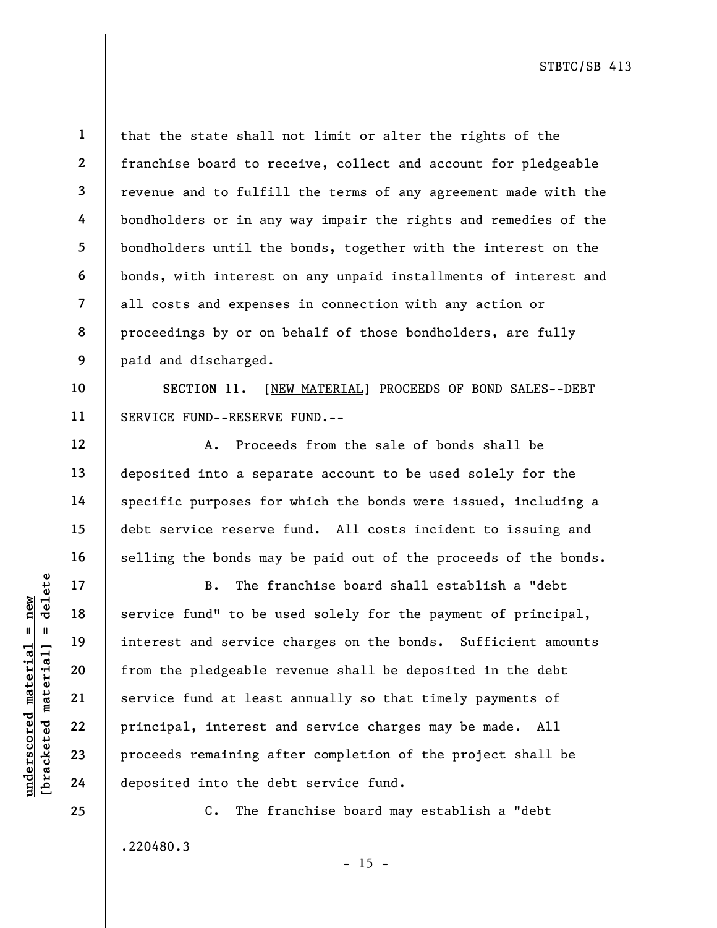10

11

12

13

14

15

16

17

18

19

20

21

22

23

24

25

1 2 3 4 5 6 7 8 9 that the state shall not limit or alter the rights of the franchise board to receive, collect and account for pledgeable revenue and to fulfill the terms of any agreement made with the bondholders or in any way impair the rights and remedies of the bondholders until the bonds, together with the interest on the bonds, with interest on any unpaid installments of interest and all costs and expenses in connection with any action or proceedings by or on behalf of those bondholders, are fully paid and discharged.

SECTION 11. [NEW MATERIAL] PROCEEDS OF BOND SALES--DEBT SERVICE FUND--RESERVE FUND.--

A. Proceeds from the sale of bonds shall be deposited into a separate account to be used solely for the specific purposes for which the bonds were issued, including a debt service reserve fund. All costs incident to issuing and selling the bonds may be paid out of the proceeds of the bonds.

understand service fund" to be understand service fund" to be under the planet material of the planet and service fund at least of the planet and service fund at least principal, interest a proceeds remaining af deposited B. The franchise board shall establish a "debt service fund" to be used solely for the payment of principal, interest and service charges on the bonds. Sufficient amounts from the pledgeable revenue shall be deposited in the debt service fund at least annually so that timely payments of principal, interest and service charges may be made. All proceeds remaining after completion of the project shall be deposited into the debt service fund.

> C. The franchise board may establish a "debt .220480.3

> > $- 15 -$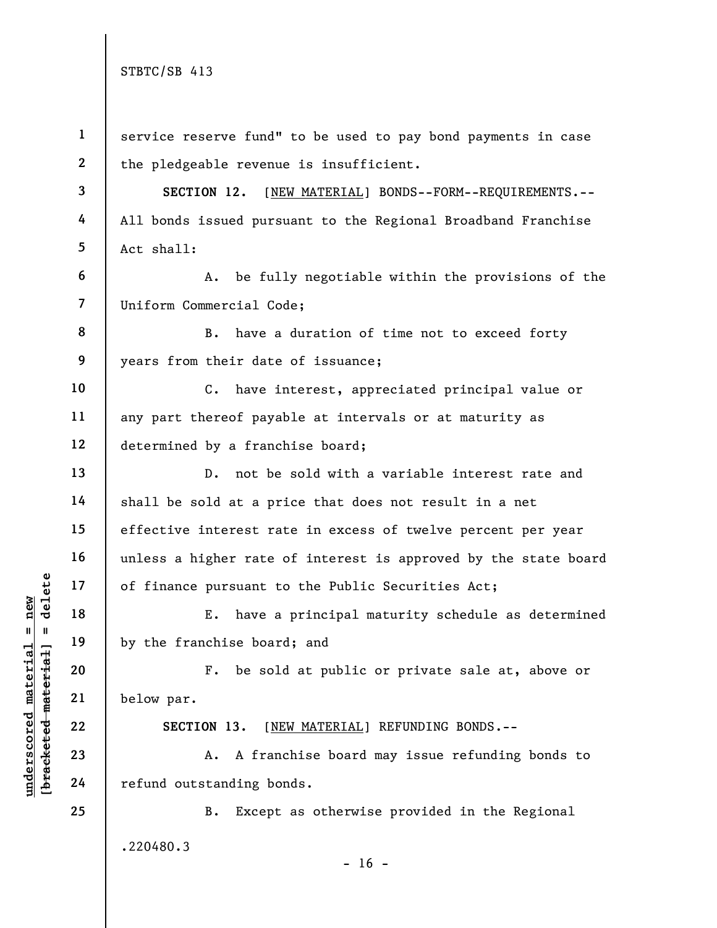|                           | $\mathbf{1}$   | service reserve fund" to be used to pay bond payments in case   |
|---------------------------|----------------|-----------------------------------------------------------------|
|                           | $\mathbf{2}$   | the pledgeable revenue is insufficient.                         |
|                           | 3              | [NEW MATERIAL] BONDS--FORM--REQUIREMENTS.--<br>SECTION 12.      |
|                           | 4              | All bonds issued pursuant to the Regional Broadband Franchise   |
|                           | 5              | Act shall:                                                      |
|                           | 6              | be fully negotiable within the provisions of the<br>Α.          |
|                           | $\overline{7}$ | Uniform Commercial Code;                                        |
|                           | 8              | have a duration of time not to exceed forty<br>В.               |
|                           | 9              | years from their date of issuance;                              |
|                           | 10             | have interest, appreciated principal value or<br>$C_{\bullet}$  |
|                           | 11             | any part thereof payable at intervals or at maturity as         |
|                           | 12             | determined by a franchise board;                                |
|                           | 13             | not be sold with a variable interest rate and<br>$D$ .          |
|                           | 14             | shall be sold at a price that does not result in a net          |
|                           | 15             | effective interest rate in excess of twelve percent per year    |
|                           | 16             | unless a higher rate of interest is approved by the state board |
| delete                    | 17             | of finance pursuant to the Public Securities Act;               |
| new                       | 18             | have a principal maturity schedule as determined<br>Ε.          |
| Ш                         | 19             | by the franchise board; and                                     |
| materia<br>material       | 20             | be sold at public or private sale at, above or<br>$F$ .         |
|                           | 21             | below par.                                                      |
|                           | 22             | SECTION 13.<br>[NEW MATERIAL] REFUNDING BONDS.--                |
| underscored<br>[bracketed | 23             | A franchise board may issue refunding bonds to<br>Α.            |
|                           | 24             | refund outstanding bonds.                                       |
|                           | 25             | Except as otherwise provided in the Regional<br>B.              |
|                           |                | .220480.3                                                       |
|                           |                | $-16$ -                                                         |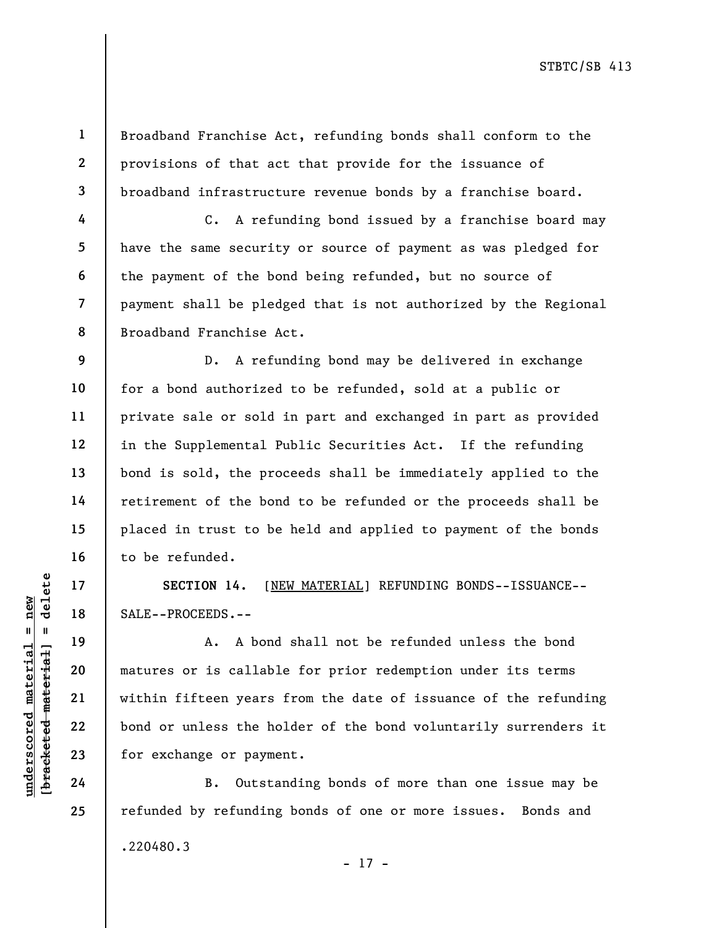1 2 3 Broadband Franchise Act, refunding bonds shall conform to the provisions of that act that provide for the issuance of broadband infrastructure revenue bonds by a franchise board.

C. A refunding bond issued by a franchise board may have the same security or source of payment as was pledged for the payment of the bond being refunded, but no source of payment shall be pledged that is not authorized by the Regional Broadband Franchise Act.

D. A refunding bond may be delivered in exchange for a bond authorized to be refunded, sold at a public or private sale or sold in part and exchanged in part as provided in the Supplemental Public Securities Act. If the refunding bond is sold, the proceeds shall be immediately applied to the retirement of the bond to be refunded or the proceeds shall be placed in trust to be held and applied to payment of the bonds to be refunded.

SECTION 14. [NEW MATERIAL] REFUNDING BONDS--ISSUANCE--SALE--PROCEEDS.--

UN SECTION 14. [<u>N</u>]<br>
and derived 18<br>
and 19<br>
and 19<br>
and 19<br>
and 19<br>
and 19<br>
and 19<br>
and 19<br>
and 19<br>
and 19<br>
and 19<br>
and 19<br>
and 19<br>
and 19<br>
and 19<br>
within fifteen years<br>
bond or unless the hot<br>
for exchange or payme<br>
24<br> A. A bond shall not be refunded unless the bond matures or is callable for prior redemption under its terms within fifteen years from the date of issuance of the refunding bond or unless the holder of the bond voluntarily surrenders it for exchange or payment.

B. Outstanding bonds of more than one issue may be refunded by refunding bonds of one or more issues. Bonds and .220480.3 - 17 -

4

5

6

7

8

9

10

11

12

13

14

15

16

17

18

19

20

21

22

23

24

25